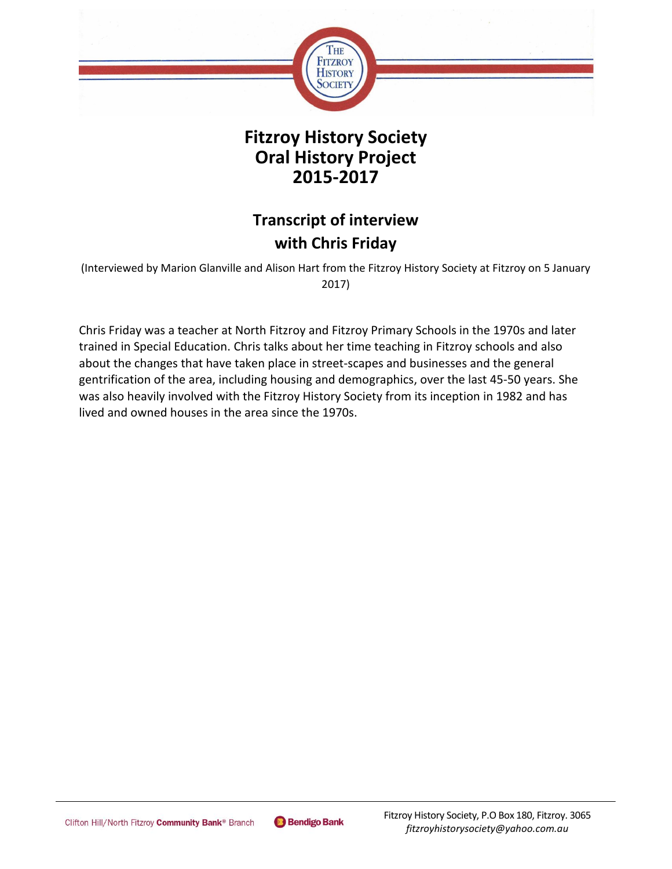

## **Fitzroy History Society Oral History Project 2015-2017**

## **Transcript of interview with Chris Friday**

(Interviewed by Marion Glanville and Alison Hart from the Fitzroy History Society at Fitzroy on 5 January 2017)

Chris Friday was a teacher at North Fitzroy and Fitzroy Primary Schools in the 1970s and later trained in Special Education. Chris talks about her time teaching in Fitzroy schools and also about the changes that have taken place in street-scapes and businesses and the general gentrification of the area, including housing and demographics, over the last 45-50 years. She was also heavily involved with the Fitzroy History Society from its inception in 1982 and has lived and owned houses in the area since the 1970s.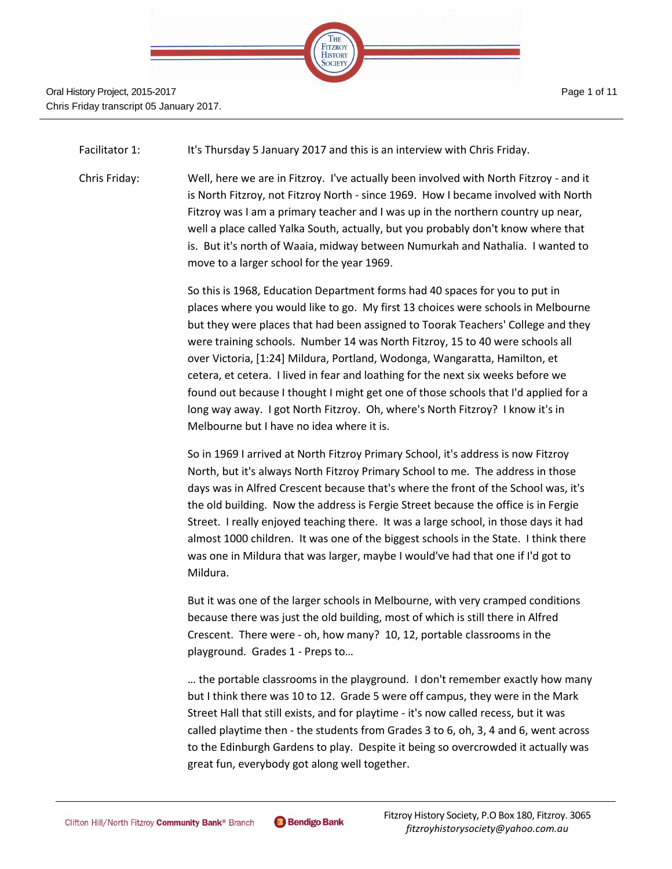

Facilitator 1: It's Thursday 5 January 2017 and this is an interview with Chris Friday.

Chris Friday: Well, here we are in Fitzroy. I've actually been involved with North Fitzroy - and it is North Fitzroy, not Fitzroy North - since 1969. How I became involved with North Fitzroy was I am a primary teacher and I was up in the northern country up near, well a place called Yalka South, actually, but you probably don't know where that is. But it's north of Waaia, midway between Numurkah and Nathalia. I wanted to move to a larger school for the year 1969.

> So this is 1968, Education Department forms had 40 spaces for you to put in places where you would like to go. My first 13 choices were schools in Melbourne but they were places that had been assigned to Toorak Teachers' College and they were training schools. Number 14 was North Fitzroy, 15 to 40 were schools all over Victoria, [1:24] Mildura, Portland, Wodonga, Wangaratta, Hamilton, et cetera, et cetera. I lived in fear and loathing for the next six weeks before we found out because I thought I might get one of those schools that I'd applied for a long way away. I got North Fitzroy. Oh, where's North Fitzroy? I know it's in Melbourne but I have no idea where it is.

So in 1969 I arrived at North Fitzroy Primary School, it's address is now Fitzroy North, but it's always North Fitzroy Primary School to me. The address in those days was in Alfred Crescent because that's where the front of the School was, it's the old building. Now the address is Fergie Street because the office is in Fergie Street. I really enjoyed teaching there. It was a large school, in those days it had almost 1000 children. It was one of the biggest schools in the State. I think there was one in Mildura that was larger, maybe I would've had that one if I'd got to Mildura.

But it was one of the larger schools in Melbourne, with very cramped conditions because there was just the old building, most of which is still there in Alfred Crescent. There were - oh, how many? 10, 12, portable classrooms in the playground. Grades 1 - Preps to…

… the portable classrooms in the playground. I don't remember exactly how many but I think there was 10 to 12. Grade 5 were off campus, they were in the Mark Street Hall that still exists, and for playtime - it's now called recess, but it was called playtime then - the students from Grades 3 to 6, oh, 3, 4 and 6, went across to the Edinburgh Gardens to play. Despite it being so overcrowded it actually was great fun, everybody got along well together.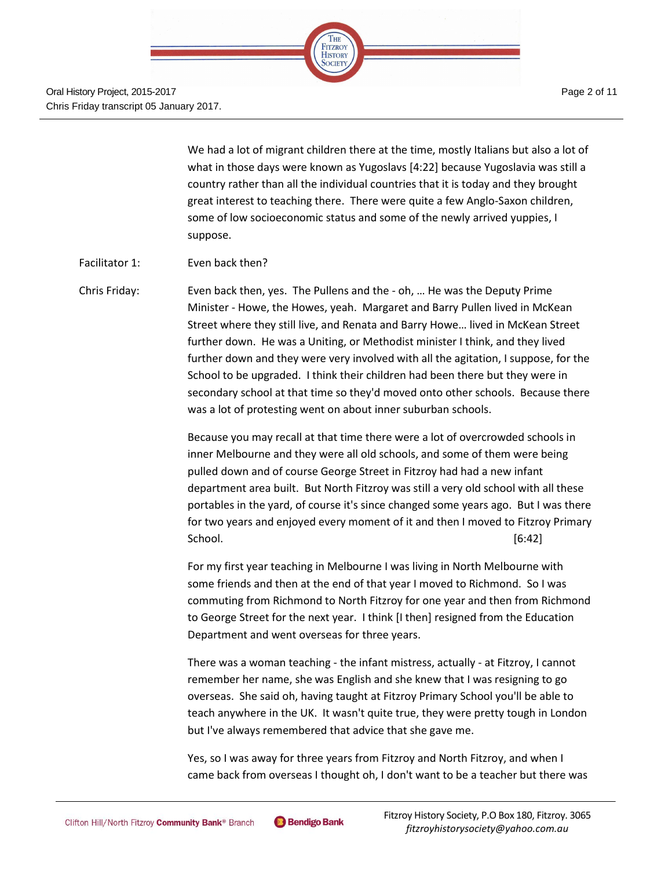

We had a lot of migrant children there at the time, mostly Italians but also a lot of what in those days were known as Yugoslavs [4:22] because Yugoslavia was still a country rather than all the individual countries that it is today and they brought great interest to teaching there. There were quite a few Anglo-Saxon children, some of low socioeconomic status and some of the newly arrived yuppies, I suppose.

- Facilitator 1: Even back then?
- Chris Friday: Even back then, yes. The Pullens and the oh, … He was the Deputy Prime Minister - Howe, the Howes, yeah. Margaret and Barry Pullen lived in McKean Street where they still live, and Renata and Barry Howe… lived in McKean Street further down. He was a Uniting, or Methodist minister I think, and they lived further down and they were very involved with all the agitation, I suppose, for the School to be upgraded. I think their children had been there but they were in secondary school at that time so they'd moved onto other schools. Because there was a lot of protesting went on about inner suburban schools.

Because you may recall at that time there were a lot of overcrowded schools in inner Melbourne and they were all old schools, and some of them were being pulled down and of course George Street in Fitzroy had had a new infant department area built. But North Fitzroy was still a very old school with all these portables in the yard, of course it's since changed some years ago. But I was there for two years and enjoyed every moment of it and then I moved to Fitzroy Primary School. [6:42]

For my first year teaching in Melbourne I was living in North Melbourne with some friends and then at the end of that year I moved to Richmond. So I was commuting from Richmond to North Fitzroy for one year and then from Richmond to George Street for the next year. I think [I then] resigned from the Education Department and went overseas for three years.

There was a woman teaching - the infant mistress, actually - at Fitzroy, I cannot remember her name, she was English and she knew that I was resigning to go overseas. She said oh, having taught at Fitzroy Primary School you'll be able to teach anywhere in the UK. It wasn't quite true, they were pretty tough in London but I've always remembered that advice that she gave me.

Yes, so I was away for three years from Fitzroy and North Fitzroy, and when I came back from overseas I thought oh, I don't want to be a teacher but there was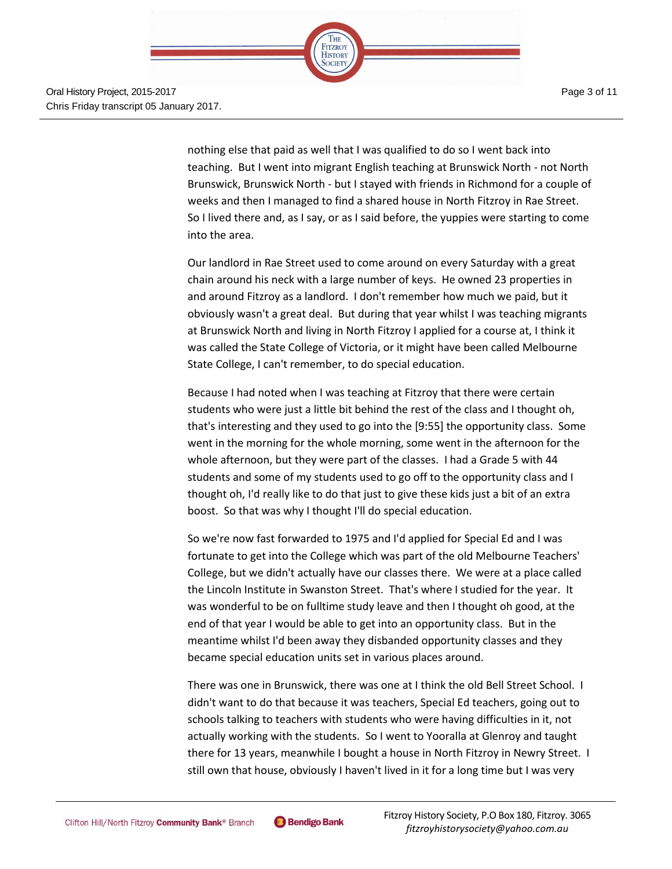

Page 3 of 11

nothing else that paid as well that I was qualified to do so I went back into teaching. But I went into migrant English teaching at Brunswick North - not North Brunswick, Brunswick North - but I stayed with friends in Richmond for a couple of weeks and then I managed to find a shared house in North Fitzroy in Rae Street. So I lived there and, as I say, or as I said before, the yuppies were starting to come into the area.

Our landlord in Rae Street used to come around on every Saturday with a great chain around his neck with a large number of keys. He owned 23 properties in and around Fitzroy as a landlord. I don't remember how much we paid, but it obviously wasn't a great deal. But during that year whilst I was teaching migrants at Brunswick North and living in North Fitzroy I applied for a course at, I think it was called the State College of Victoria, or it might have been called Melbourne State College, I can't remember, to do special education.

Because I had noted when I was teaching at Fitzroy that there were certain students who were just a little bit behind the rest of the class and I thought oh, that's interesting and they used to go into the [9:55] the opportunity class. Some went in the morning for the whole morning, some went in the afternoon for the whole afternoon, but they were part of the classes. I had a Grade 5 with 44 students and some of my students used to go off to the opportunity class and I thought oh, I'd really like to do that just to give these kids just a bit of an extra boost. So that was why I thought I'll do special education.

So we're now fast forwarded to 1975 and I'd applied for Special Ed and I was fortunate to get into the College which was part of the old Melbourne Teachers' College, but we didn't actually have our classes there. We were at a place called the Lincoln Institute in Swanston Street. That's where I studied for the year. It was wonderful to be on fulltime study leave and then I thought oh good, at the end of that year I would be able to get into an opportunity class. But in the meantime whilst I'd been away they disbanded opportunity classes and they became special education units set in various places around.

There was one in Brunswick, there was one at I think the old Bell Street School. I didn't want to do that because it was teachers, Special Ed teachers, going out to schools talking to teachers with students who were having difficulties in it, not actually working with the students. So I went to Yooralla at Glenroy and taught there for 13 years, meanwhile I bought a house in North Fitzroy in Newry Street. I still own that house, obviously I haven't lived in it for a long time but I was very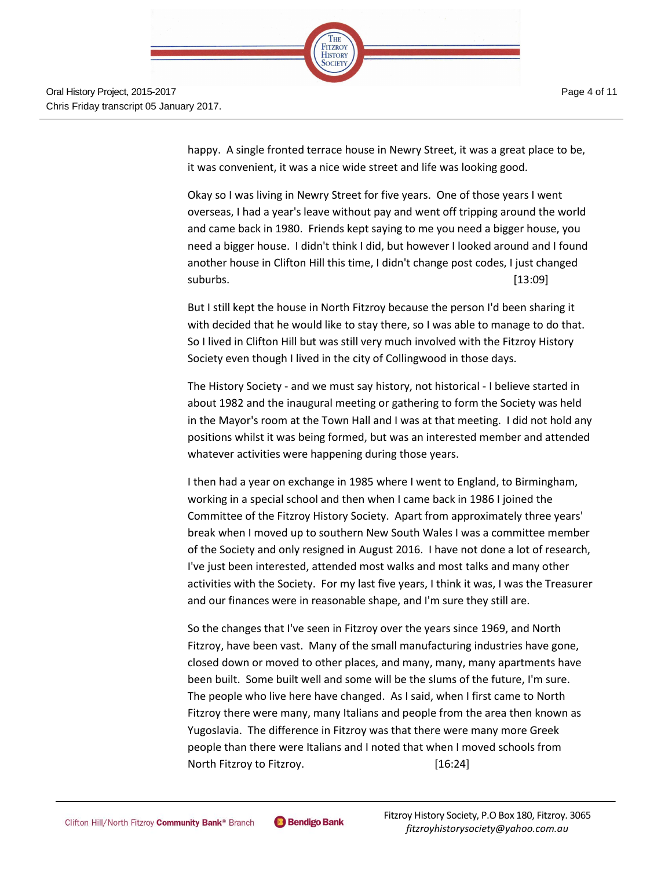

happy. A single fronted terrace house in Newry Street, it was a great place to be, it was convenient, it was a nice wide street and life was looking good.

Okay so I was living in Newry Street for five years. One of those years I went overseas, I had a year's leave without pay and went off tripping around the world and came back in 1980. Friends kept saying to me you need a bigger house, you need a bigger house. I didn't think I did, but however I looked around and I found another house in Clifton Hill this time, I didn't change post codes, I just changed suburbs. [13:09]

But I still kept the house in North Fitzroy because the person I'd been sharing it with decided that he would like to stay there, so I was able to manage to do that. So I lived in Clifton Hill but was still very much involved with the Fitzroy History Society even though I lived in the city of Collingwood in those days.

The History Society - and we must say history, not historical - I believe started in about 1982 and the inaugural meeting or gathering to form the Society was held in the Mayor's room at the Town Hall and I was at that meeting. I did not hold any positions whilst it was being formed, but was an interested member and attended whatever activities were happening during those years.

I then had a year on exchange in 1985 where I went to England, to Birmingham, working in a special school and then when I came back in 1986 I joined the Committee of the Fitzroy History Society. Apart from approximately three years' break when I moved up to southern New South Wales I was a committee member of the Society and only resigned in August 2016. I have not done a lot of research, I've just been interested, attended most walks and most talks and many other activities with the Society. For my last five years, I think it was, I was the Treasurer and our finances were in reasonable shape, and I'm sure they still are.

So the changes that I've seen in Fitzroy over the years since 1969, and North Fitzroy, have been vast. Many of the small manufacturing industries have gone, closed down or moved to other places, and many, many, many apartments have been built. Some built well and some will be the slums of the future, I'm sure. The people who live here have changed. As I said, when I first came to North Fitzroy there were many, many Italians and people from the area then known as Yugoslavia. The difference in Fitzroy was that there were many more Greek people than there were Italians and I noted that when I moved schools from North Fitzroy to Fitzroy. [16:24]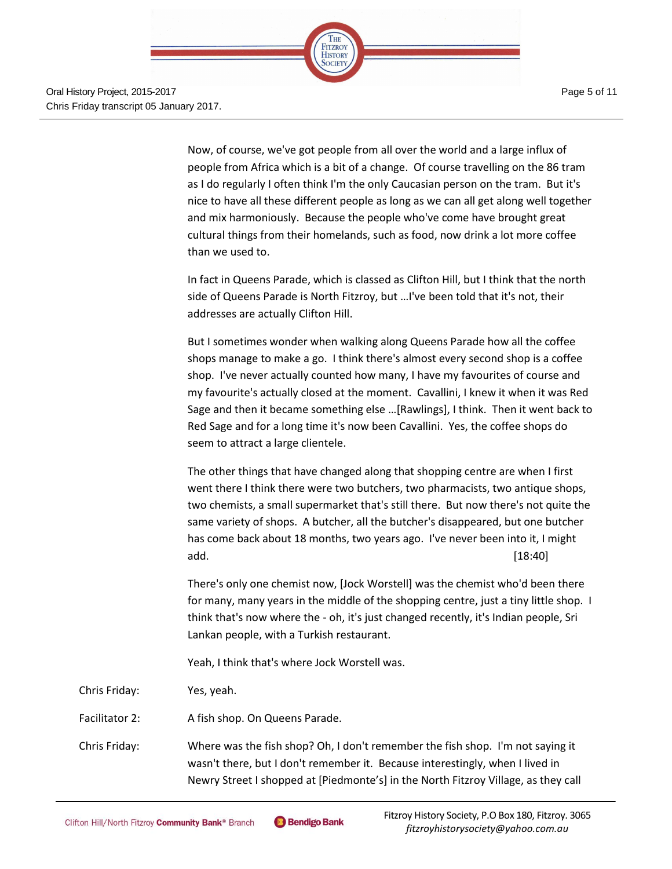

Page 5 of 11

Now, of course, we've got people from all over the world and a large influx of people from Africa which is a bit of a change. Of course travelling on the 86 tram as I do regularly I often think I'm the only Caucasian person on the tram. But it's nice to have all these different people as long as we can all get along well together and mix harmoniously. Because the people who've come have brought great cultural things from their homelands, such as food, now drink a lot more coffee than we used to.

In fact in Queens Parade, which is classed as Clifton Hill, but I think that the north side of Queens Parade is North Fitzroy, but …I've been told that it's not, their addresses are actually Clifton Hill.

But I sometimes wonder when walking along Queens Parade how all the coffee shops manage to make a go. I think there's almost every second shop is a coffee shop. I've never actually counted how many, I have my favourites of course and my favourite's actually closed at the moment. Cavallini, I knew it when it was Red Sage and then it became something else …[Rawlings], I think. Then it went back to Red Sage and for a long time it's now been Cavallini. Yes, the coffee shops do seem to attract a large clientele.

The other things that have changed along that shopping centre are when I first went there I think there were two butchers, two pharmacists, two antique shops, two chemists, a small supermarket that's still there. But now there's not quite the same variety of shops. A butcher, all the butcher's disappeared, but one butcher has come back about 18 months, two years ago. I've never been into it, I might add. [18:40]

There's only one chemist now, [Jock Worstell] was the chemist who'd been there for many, many years in the middle of the shopping centre, just a tiny little shop. I think that's now where the - oh, it's just changed recently, it's Indian people, Sri Lankan people, with a Turkish restaurant.

Yeah, I think that's where Jock Worstell was.

Chris Friday: Yes, yeah.

Facilitator 2: A fish shop. On Queens Parade.

Chris Friday: Where was the fish shop? Oh, I don't remember the fish shop. I'm not saying it wasn't there, but I don't remember it. Because interestingly, when I lived in Newry Street I shopped at [Piedmonte's] in the North Fitzroy Village, as they call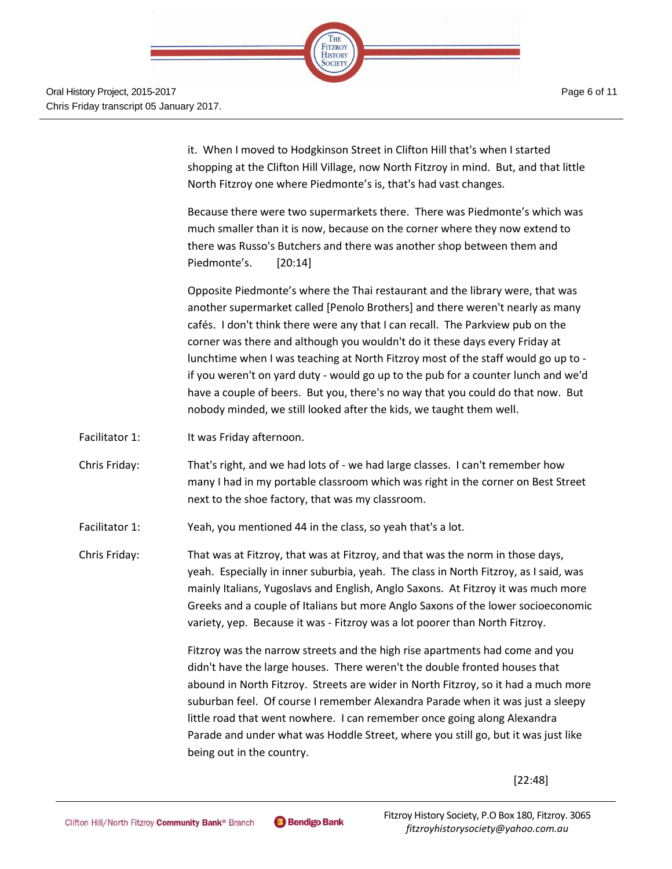

it. When I moved to Hodgkinson Street in Clifton Hill that's when I started shopping at the Clifton Hill Village, now North Fitzroy in mind. But, and that little North Fitzroy one where Piedmonte's is, that's had vast changes.

Because there were two supermarkets there. There was Piedmonte's which was much smaller than it is now, because on the corner where they now extend to there was Russo's Butchers and there was another shop between them and Piedmonte's. [20:14]

Opposite Piedmonte's where the Thai restaurant and the library were, that was another supermarket called [Penolo Brothers] and there weren't nearly as many cafés. I don't think there were any that I can recall. The Parkview pub on the corner was there and although you wouldn't do it these days every Friday at lunchtime when I was teaching at North Fitzroy most of the staff would go up to if you weren't on yard duty - would go up to the pub for a counter lunch and we'd have a couple of beers. But you, there's no way that you could do that now. But nobody minded, we still looked after the kids, we taught them well.

- Facilitator 1: It was Friday afternoon.
- Chris Friday: That's right, and we had lots of we had large classes. I can't remember how many I had in my portable classroom which was right in the corner on Best Street next to the shoe factory, that was my classroom.

Facilitator 1: Yeah, you mentioned 44 in the class, so yeah that's a lot.

Chris Friday: That was at Fitzroy, that was at Fitzroy, and that was the norm in those days, yeah. Especially in inner suburbia, yeah. The class in North Fitzroy, as I said, was mainly Italians, Yugoslavs and English, Anglo Saxons. At Fitzroy it was much more Greeks and a couple of Italians but more Anglo Saxons of the lower socioeconomic variety, yep. Because it was - Fitzroy was a lot poorer than North Fitzroy.

> Fitzroy was the narrow streets and the high rise apartments had come and you didn't have the large houses. There weren't the double fronted houses that abound in North Fitzroy. Streets are wider in North Fitzroy, so it had a much more suburban feel. Of course I remember Alexandra Parade when it was just a sleepy little road that went nowhere. I can remember once going along Alexandra Parade and under what was Hoddle Street, where you still go, but it was just like being out in the country.

> > [22:48]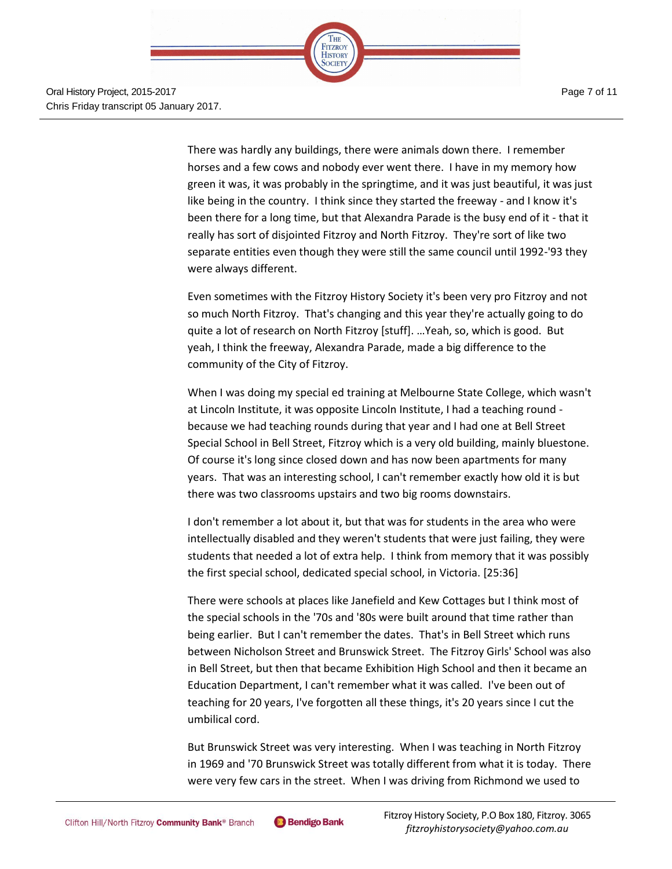

There was hardly any buildings, there were animals down there. I remember horses and a few cows and nobody ever went there. I have in my memory how green it was, it was probably in the springtime, and it was just beautiful, it was just like being in the country. I think since they started the freeway - and I know it's been there for a long time, but that Alexandra Parade is the busy end of it - that it really has sort of disjointed Fitzroy and North Fitzroy. They're sort of like two separate entities even though they were still the same council until 1992-'93 they were always different.

Even sometimes with the Fitzroy History Society it's been very pro Fitzroy and not so much North Fitzroy. That's changing and this year they're actually going to do quite a lot of research on North Fitzroy [stuff]. …Yeah, so, which is good. But yeah, I think the freeway, Alexandra Parade, made a big difference to the community of the City of Fitzroy.

When I was doing my special ed training at Melbourne State College, which wasn't at Lincoln Institute, it was opposite Lincoln Institute, I had a teaching round because we had teaching rounds during that year and I had one at Bell Street Special School in Bell Street, Fitzroy which is a very old building, mainly bluestone. Of course it's long since closed down and has now been apartments for many years. That was an interesting school, I can't remember exactly how old it is but there was two classrooms upstairs and two big rooms downstairs.

I don't remember a lot about it, but that was for students in the area who were intellectually disabled and they weren't students that were just failing, they were students that needed a lot of extra help. I think from memory that it was possibly the first special school, dedicated special school, in Victoria. [25:36]

There were schools at places like Janefield and Kew Cottages but I think most of the special schools in the '70s and '80s were built around that time rather than being earlier. But I can't remember the dates. That's in Bell Street which runs between Nicholson Street and Brunswick Street. The Fitzroy Girls' School was also in Bell Street, but then that became Exhibition High School and then it became an Education Department, I can't remember what it was called. I've been out of teaching for 20 years, I've forgotten all these things, it's 20 years since I cut the umbilical cord.

But Brunswick Street was very interesting. When I was teaching in North Fitzroy in 1969 and '70 Brunswick Street was totally different from what it is today. There were very few cars in the street. When I was driving from Richmond we used to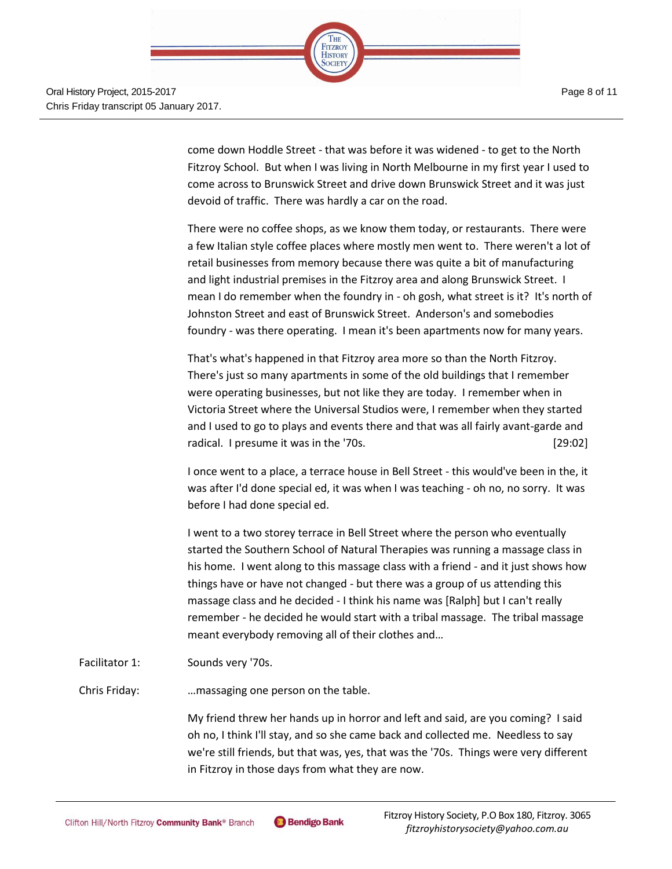

come down Hoddle Street - that was before it was widened - to get to the North Fitzroy School. But when I was living in North Melbourne in my first year I used to come across to Brunswick Street and drive down Brunswick Street and it was just devoid of traffic. There was hardly a car on the road.

There were no coffee shops, as we know them today, or restaurants. There were a few Italian style coffee places where mostly men went to. There weren't a lot of retail businesses from memory because there was quite a bit of manufacturing and light industrial premises in the Fitzroy area and along Brunswick Street. I mean I do remember when the foundry in - oh gosh, what street is it? It's north of Johnston Street and east of Brunswick Street. Anderson's and somebodies foundry - was there operating. I mean it's been apartments now for many years.

That's what's happened in that Fitzroy area more so than the North Fitzroy. There's just so many apartments in some of the old buildings that I remember were operating businesses, but not like they are today. I remember when in Victoria Street where the Universal Studios were, I remember when they started and I used to go to plays and events there and that was all fairly avant-garde and radical. I presume it was in the '70s. [29:02]

I once went to a place, a terrace house in Bell Street - this would've been in the, it was after I'd done special ed, it was when I was teaching - oh no, no sorry. It was before I had done special ed.

I went to a two storey terrace in Bell Street where the person who eventually started the Southern School of Natural Therapies was running a massage class in his home. I went along to this massage class with a friend - and it just shows how things have or have not changed - but there was a group of us attending this massage class and he decided - I think his name was [Ralph] but I can't really remember - he decided he would start with a tribal massage. The tribal massage meant everybody removing all of their clothes and…

Facilitator 1: Sounds very '70s.

Chris Friday: …massaging one person on the table.

My friend threw her hands up in horror and left and said, are you coming? I said oh no, I think I'll stay, and so she came back and collected me. Needless to say we're still friends, but that was, yes, that was the '70s. Things were very different in Fitzroy in those days from what they are now.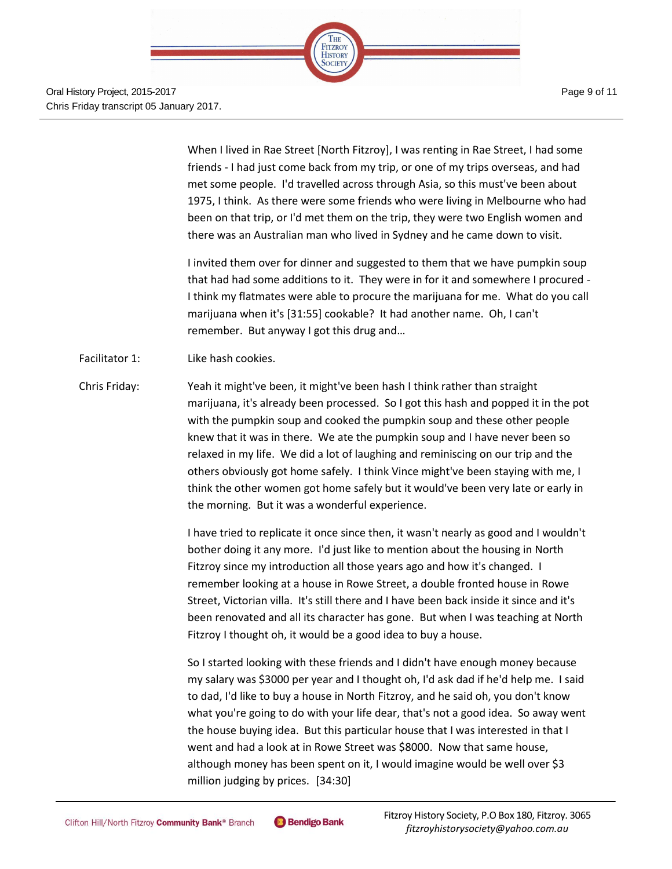

When I lived in Rae Street [North Fitzroy], I was renting in Rae Street, I had some friends - I had just come back from my trip, or one of my trips overseas, and had met some people. I'd travelled across through Asia, so this must've been about 1975, I think. As there were some friends who were living in Melbourne who had been on that trip, or I'd met them on the trip, they were two English women and there was an Australian man who lived in Sydney and he came down to visit.

I invited them over for dinner and suggested to them that we have pumpkin soup that had had some additions to it. They were in for it and somewhere I procured - I think my flatmates were able to procure the marijuana for me. What do you call marijuana when it's [31:55] cookable? It had another name. Oh, I can't remember. But anyway I got this drug and…

- Facilitator 1: Like hash cookies.
- Chris Friday: Yeah it might've been, it might've been hash I think rather than straight marijuana, it's already been processed. So I got this hash and popped it in the pot with the pumpkin soup and cooked the pumpkin soup and these other people knew that it was in there. We ate the pumpkin soup and I have never been so relaxed in my life. We did a lot of laughing and reminiscing on our trip and the others obviously got home safely. I think Vince might've been staying with me, I think the other women got home safely but it would've been very late or early in the morning. But it was a wonderful experience.

I have tried to replicate it once since then, it wasn't nearly as good and I wouldn't bother doing it any more. I'd just like to mention about the housing in North Fitzroy since my introduction all those years ago and how it's changed. I remember looking at a house in Rowe Street, a double fronted house in Rowe Street, Victorian villa. It's still there and I have been back inside it since and it's been renovated and all its character has gone. But when I was teaching at North Fitzroy I thought oh, it would be a good idea to buy a house.

So I started looking with these friends and I didn't have enough money because my salary was \$3000 per year and I thought oh, I'd ask dad if he'd help me. I said to dad, I'd like to buy a house in North Fitzroy, and he said oh, you don't know what you're going to do with your life dear, that's not a good idea. So away went the house buying idea. But this particular house that I was interested in that I went and had a look at in Rowe Street was \$8000. Now that same house, although money has been spent on it, I would imagine would be well over \$3 million judging by prices. [34:30]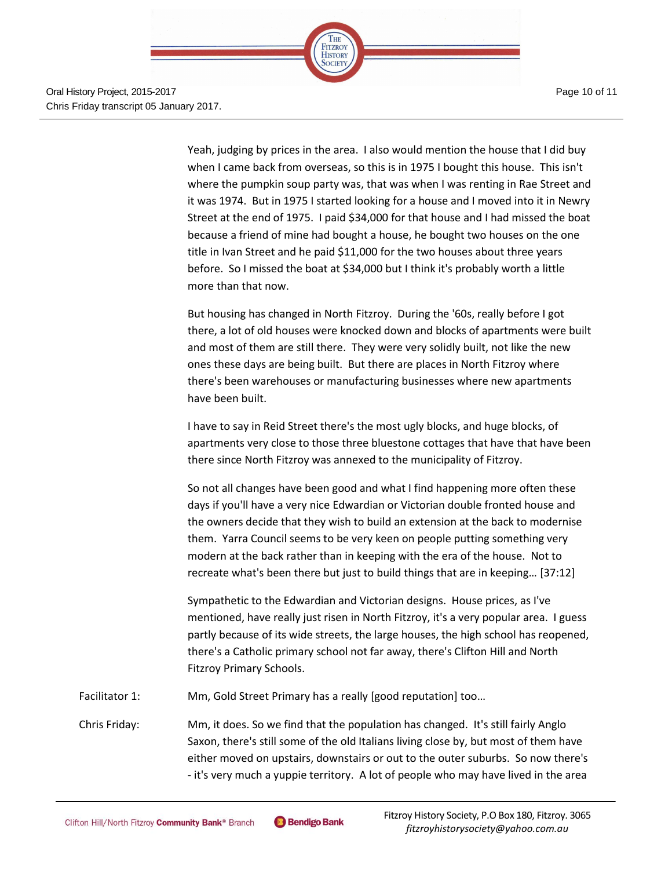

Oral History Project, 2015-2017 Chris Friday transcript 05 January 2017. Page 10 of 11

Yeah, judging by prices in the area. I also would mention the house that I did buy when I came back from overseas, so this is in 1975 I bought this house. This isn't where the pumpkin soup party was, that was when I was renting in Rae Street and it was 1974. But in 1975 I started looking for a house and I moved into it in Newry Street at the end of 1975. I paid \$34,000 for that house and I had missed the boat because a friend of mine had bought a house, he bought two houses on the one title in Ivan Street and he paid \$11,000 for the two houses about three years before. So I missed the boat at \$34,000 but I think it's probably worth a little more than that now.

But housing has changed in North Fitzroy. During the '60s, really before I got there, a lot of old houses were knocked down and blocks of apartments were built and most of them are still there. They were very solidly built, not like the new ones these days are being built. But there are places in North Fitzroy where there's been warehouses or manufacturing businesses where new apartments have been built.

I have to say in Reid Street there's the most ugly blocks, and huge blocks, of apartments very close to those three bluestone cottages that have that have been there since North Fitzroy was annexed to the municipality of Fitzroy.

So not all changes have been good and what I find happening more often these days if you'll have a very nice Edwardian or Victorian double fronted house and the owners decide that they wish to build an extension at the back to modernise them. Yarra Council seems to be very keen on people putting something very modern at the back rather than in keeping with the era of the house. Not to recreate what's been there but just to build things that are in keeping… [37:12]

Sympathetic to the Edwardian and Victorian designs. House prices, as I've mentioned, have really just risen in North Fitzroy, it's a very popular area. I guess partly because of its wide streets, the large houses, the high school has reopened, there's a Catholic primary school not far away, there's Clifton Hill and North Fitzroy Primary Schools.

Facilitator 1: Mm, Gold Street Primary has a really [good reputation] too...

Chris Friday: Mm, it does. So we find that the population has changed. It's still fairly Anglo Saxon, there's still some of the old Italians living close by, but most of them have either moved on upstairs, downstairs or out to the outer suburbs. So now there's - it's very much a yuppie territory. A lot of people who may have lived in the area